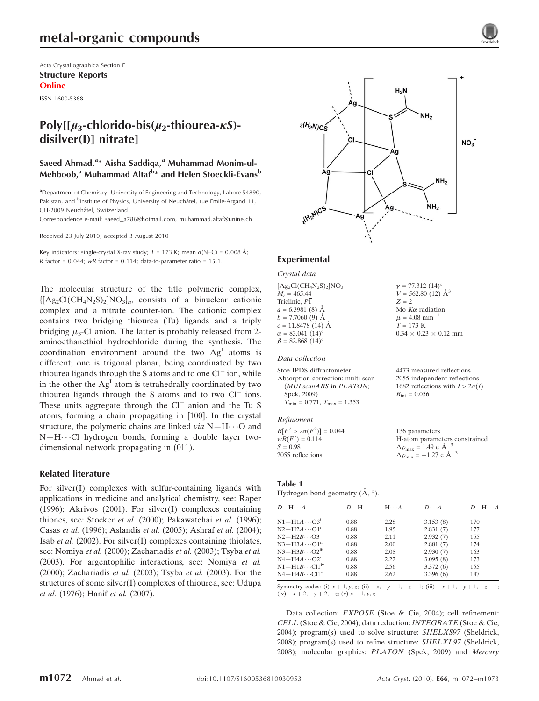# metal-organic compounds

Acta Crystallographica Section E Structure Reports Online

ISSN 1600-5368

## Poly[ $\mu_3$ -chlorido-bis( $\mu_2$ -thiourea- $\kappa$ S)disilver(I)] nitrate]

### Saeed Ahmad,<sup>a</sup>\* Aisha Saddiqa,<sup>a</sup> Muhammad Monim-ul-Mehboob,<sup>a</sup> Muhammad Altaf<sup>b</sup>\* and Helen Stoeckli-Evans<sup>b</sup>

<sup>a</sup>Department of Chemistry, University of Engineering and Technology, Lahore 54890, Pakistan, and <sup>b</sup>Institute of Physics, University of Neuchâtel, rue Emile-Argand 11, CH-2009 Neuchâtel, Switzerland

Correspondence e-mail: saeed\_a786@hotmail.com, muhammad.altaf@unine.ch

Received 23 July 2010; accepted 3 August 2010

Key indicators: single-crystal X-ray study;  $T = 173$  K; mean  $\sigma$ (N–C) = 0.008 Å; R factor =  $0.044$ ; wR factor =  $0.114$ ; data-to-parameter ratio =  $15.1$ .

The molecular structure of the title polymeric complex,  ${[Ag_2Cl(CH_4N_2S)_2]NO_3}_n$ , consists of a binuclear cationic complex and a nitrate counter-ion. The cationic complex contains two bridging thiourea (Tu) ligands and a triply bridging  $\mu_3$ -Cl anion. The latter is probably released from 2aminoethanethiol hydrochloride during the synthesis. The coordination environment around the two  $Ag<sup>I</sup>$  atoms is different; one is trigonal planar, being coordinated by two thiourea ligands through the S atoms and to one Cl<sup>-</sup> ion, while in the other the  $Ag<sup>I</sup>$  atom is tetrahedrally coordinated by two thiourea ligands through the S atoms and to two Cl<sup>-</sup> ions. These units aggregate through the Cl<sup>-</sup> anion and the Tu S atoms, forming a chain propagating in [100]. In the crystal structure, the polymeric chains are linked via  $N-H\cdots O$  and  $N-H\cdots$ Cl hydrogen bonds, forming a double layer twodimensional network propagating in (011).

### Related literature

For silver(I) complexes with sulfur-containing ligands with applications in medicine and analytical chemistry, see: Raper (1996); Akrivos (2001). For silver(I) complexes containing thiones, see: Stocker et al. (2000); Pakawatchai et al. (1996); Casas et al. (1996); Aslandis et al. (2005); Ashraf et al. (2004); Isab et al. (2002). For silver(I) complexes containing thiolates, see: Nomiya et al. (2000); Zachariadis et al. (2003); Tsyba et al. (2003). For argentophilic interactions, see: Nomiya et al. (2000); Zachariadis et al. (2003); Tsyba et al. (2003). For the structures of some silver(I) complexes of thiourea, see: Udupa et al. (1976); Hanif et al. (2007).



 $v = 77.312 (14)$ °  $V = 562.80(12)$   $\AA^3$ 

Mo  $K\alpha$  radiation  $\mu = 4.08$  mm<sup>-1</sup>  $T = 173 K$ 

 $0.34 \times 0.23 \times 0.12$  mm

 $Z = 2$ 

### Experimental

Crystal data  $[Ag_2Cl(CH_4N_2S)_2]NO_3$  $M_r = 465.44$ Triclinic, P1  $a = 6.3981(8)$  Å  $b = 7.7060(9)$  Å

 $c = 11.8478(14)$  Å  $\alpha = 83.041~(14)$ °  $\beta = 82.868 (14)^{o}$ 

#### Data collection

Stoe IPDS diffractometer Absorption correction: multi-scan (MULscanABS in PLATON; Spek, 2009)  $\overline{T}_{\text{min}} = 0.771, T_{\text{max}} = 1.353$ 4473 measured reflections 2055 independent reflections 1682 reflections with  $I > 2\sigma(I)$  $R_{\text{int}} = 0.056$ 

#### Refinement

| $R[F^2 > 2\sigma(F^2)] = 0.044$ | 136 parameters                                             |
|---------------------------------|------------------------------------------------------------|
| $wR(F^2) = 0.114$               | H-atom parameters constrained                              |
| $S = 0.98$                      | $\Delta \rho_{\text{max}} = 1.49 \text{ e A}^{-3}$         |
| 2055 reflections                | $\Delta \rho_{\rm min} = -1.27 \text{ e } \text{\AA}^{-3}$ |

#### Table 1

Hydrogen-bond geometry  $(\mathring{A}, \degree)$ .

| $D - H \cdots A$               | $D-H$ | $H \cdots A$ | $D\cdots A$ | $D - H \cdots A$ |
|--------------------------------|-------|--------------|-------------|------------------|
| $N1 - H1A \cdots O3^1$         | 0.88  | 2.28         | 3.153(8)    | 170              |
| $N2-H2A\cdots O1$ <sup>1</sup> | 0.88  | 1.95         | 2.831(7)    | 177              |
| $N2-H2B\cdots$ O3              | 0.88  | 2.11         | 2.932(7)    | 155              |
| $N3-H3A\cdots O1^{ii}$         | 0.88  | 2.00         | 2.881(7)    | 174              |
| $N3-H3B\cdots O2III$           | 0.88  | 2.08         | 2.930(7)    | 163              |
| $N4 - H4A \cdots O2^{ii}$      | 0.88  | 2.22         | 3.095(8)    | 173              |
| $N1 - H1B \cdots C11^{IV}$     | 0.88  | 2.56         | 3.372(6)    | 155              |
| $N4 - H4B \cdots Cl1v$         | 0.88  | 2.62         | 3.396(6)    | 147              |

Symmetry codes: (i)  $x + 1$ ,  $y$ ,  $z$ ; (ii)  $-x$ ,  $-y + 1$ ,  $-z + 1$ ; (iii)  $-x + 1$ ,  $-y + 1$ ,  $-z + 1$ ;  $(iv) -x + 2, -y + 2, -z$ ; (v)  $x - 1, y, z$ .

Data collection: *EXPOSE* (Stoe & Cie, 2004); cell refinement: CELL (Stoe & Cie, 2004); data reduction: INTEGRATE (Stoe & Cie, 2004); program(s) used to solve structure: SHELXS97 (Sheldrick, 2008); program(s) used to refine structure: SHELXL97 (Sheldrick, 2008); molecular graphics: PLATON (Spek, 2009) and Mercury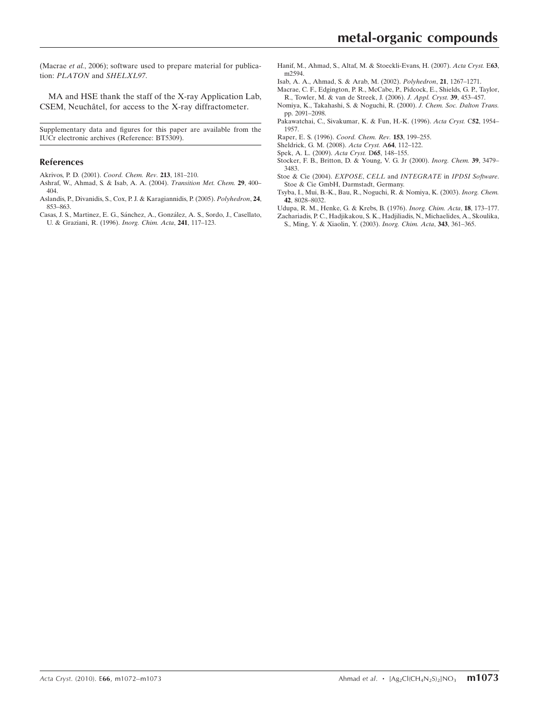(Macrae et al., 2006); software used to prepare material for publication: PLATON and SHELXL97.

MA and HSE thank the staff of the X-ray Application Lab, CSEM, Neuchâtel, for access to the X-ray diffractometer.

Supplementary data and figures for this paper are available from the IUCr electronic archives (Reference: BT5309).

#### References

- [Akrivos, P. D. \(2001\).](https://scripts.iucr.org/cgi-bin/cr.cgi?rm=pdfbb&cnor=bt5309&bbid=BB1) Coord. Chem. Rev. 213, 181–210.
- [Ashraf, W., Ahmad, S. & Isab, A. A. \(2004\).](https://scripts.iucr.org/cgi-bin/cr.cgi?rm=pdfbb&cnor=bt5309&bbid=BB2) Transition Met. Chem. 29, 400– [404.](https://scripts.iucr.org/cgi-bin/cr.cgi?rm=pdfbb&cnor=bt5309&bbid=BB2)
- [Aslandis, P., Divanidis, S., Cox, P. J. & Karagiannidis, P. \(2005\).](https://scripts.iucr.org/cgi-bin/cr.cgi?rm=pdfbb&cnor=bt5309&bbid=BB3) Polyhedron, 24, [853–863.](https://scripts.iucr.org/cgi-bin/cr.cgi?rm=pdfbb&cnor=bt5309&bbid=BB3)
- Casas, J. S., Martinez, E. G., Sánchez, A., González, A. S., Sordo, J., Casellato, [U. & Graziani, R. \(1996\).](https://scripts.iucr.org/cgi-bin/cr.cgi?rm=pdfbb&cnor=bt5309&bbid=BB4) Inorg. Chim. Acta, 241, 117–123.
- [Hanif, M., Ahmad, S., Altaf, M. & Stoeckli-Evans, H. \(2007\).](https://scripts.iucr.org/cgi-bin/cr.cgi?rm=pdfbb&cnor=bt5309&bbid=BB6) Acta Cryst. E63, [m2594.](https://scripts.iucr.org/cgi-bin/cr.cgi?rm=pdfbb&cnor=bt5309&bbid=BB6)
- [Isab, A. A., Ahmad, S. & Arab, M. \(2002\).](https://scripts.iucr.org/cgi-bin/cr.cgi?rm=pdfbb&cnor=bt5309&bbid=BB6) Polyhedron, 21, 1267–1271.
- [Macrae, C. F., Edgington, P. R., McCabe, P., Pidcock, E., Shields, G. P., Taylor,](https://scripts.iucr.org/cgi-bin/cr.cgi?rm=pdfbb&cnor=bt5309&bbid=BB7) [R., Towler, M. & van de Streek, J. \(2006\).](https://scripts.iucr.org/cgi-bin/cr.cgi?rm=pdfbb&cnor=bt5309&bbid=BB7) J. Appl. Cryst. 39, 453–457.
- [Nomiya, K., Takahashi, S. & Noguchi, R. \(2000\).](https://scripts.iucr.org/cgi-bin/cr.cgi?rm=pdfbb&cnor=bt5309&bbid=BB8) J. Chem. Soc. Dalton Trans. [pp. 2091–2098.](https://scripts.iucr.org/cgi-bin/cr.cgi?rm=pdfbb&cnor=bt5309&bbid=BB8)
- [Pakawatchai, C., Sivakumar, K. & Fun, H.-K. \(1996\).](https://scripts.iucr.org/cgi-bin/cr.cgi?rm=pdfbb&cnor=bt5309&bbid=BB9) Acta Cryst. C52, 1954– [1957.](https://scripts.iucr.org/cgi-bin/cr.cgi?rm=pdfbb&cnor=bt5309&bbid=BB9)
- [Raper, E. S. \(1996\).](https://scripts.iucr.org/cgi-bin/cr.cgi?rm=pdfbb&cnor=bt5309&bbid=BB10) Coord. Chem. Rev. 153, 199–255.
- [Sheldrick, G. M. \(2008\).](https://scripts.iucr.org/cgi-bin/cr.cgi?rm=pdfbb&cnor=bt5309&bbid=BB11) Acta Cryst. A64, 112–122.
- [Spek, A. L. \(2009\).](https://scripts.iucr.org/cgi-bin/cr.cgi?rm=pdfbb&cnor=bt5309&bbid=BB12) Acta Cryst. D65, 148–155.
- [Stocker, F. B., Britton, D. & Young, V. G. Jr \(2000\).](https://scripts.iucr.org/cgi-bin/cr.cgi?rm=pdfbb&cnor=bt5309&bbid=BB13) Inorg. Chem. 39, 3479– [3483.](https://scripts.iucr.org/cgi-bin/cr.cgi?rm=pdfbb&cnor=bt5309&bbid=BB13)
- [Stoe & Cie \(2004\).](https://scripts.iucr.org/cgi-bin/cr.cgi?rm=pdfbb&cnor=bt5309&bbid=BB14) EXPOSE, CELL and INTEGRATE in IPDSI Software. [Stoe & Cie GmbH, Darmstadt, Germany.](https://scripts.iucr.org/cgi-bin/cr.cgi?rm=pdfbb&cnor=bt5309&bbid=BB14)
- [Tsyba, I., Mui, B.-K., Bau, R., Noguchi, R. & Nomiya, K. \(2003\).](https://scripts.iucr.org/cgi-bin/cr.cgi?rm=pdfbb&cnor=bt5309&bbid=BB15) Inorg. Chem. 42[, 8028–8032.](https://scripts.iucr.org/cgi-bin/cr.cgi?rm=pdfbb&cnor=bt5309&bbid=BB15)
- [Udupa, R. M., Henke, G. & Krebs, B. \(1976\).](https://scripts.iucr.org/cgi-bin/cr.cgi?rm=pdfbb&cnor=bt5309&bbid=BB16) Inorg. Chim. Acta, 18, 173–177.
- [Zachariadis, P. C., Hadjikakou, S. K., Hadjiliadis, N., Michaelides, A., Skoulika,](https://scripts.iucr.org/cgi-bin/cr.cgi?rm=pdfbb&cnor=bt5309&bbid=BB17) [S., Ming, Y. & Xiaolin, Y. \(2003\).](https://scripts.iucr.org/cgi-bin/cr.cgi?rm=pdfbb&cnor=bt5309&bbid=BB17) Inorg. Chim. Acta, 343, 361–365.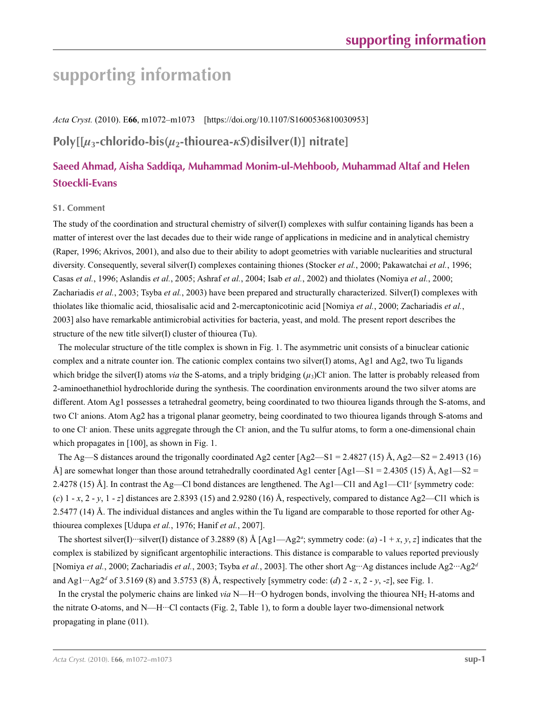# **supporting information**

*Acta Cryst.* (2010). E**66**, m1072–m1073 [https://doi.org/10.1107/S1600536810030953]

## **Poly[[***µ***3-chlorido-bis(***µ***2-thiourea-***κS***)disilver(I)] nitrate]**

## **Saeed Ahmad, Aisha Saddiqa, Muhammad Monim-ul-Mehboob, Muhammad Altaf and Helen Stoeckli-Evans**

### **S1. Comment**

The study of the coordination and structural chemistry of silver(I) complexes with sulfur containing ligands has been a matter of interest over the last decades due to their wide range of applications in medicine and in analytical chemistry (Raper, 1996; Akrivos, 2001), and also due to their ability to adopt geometries with variable nuclearities and structural diversity. Consequently, several silver(I) complexes containing thiones (Stocker *et al.*, 2000; Pakawatchai *et al.*, 1996; Casas *et al.*, 1996; Aslandis *et al.*, 2005; Ashraf *et al.*, 2004; Isab *et al.*, 2002) and thiolates (Nomiya *et al.*, 2000; Zachariadis *et al.*, 2003; Tsyba *et al.*, 2003) have been prepared and structurally characterized. Silver(I) complexes with thiolates like thiomalic acid, thiosalisalic acid and 2-mercaptonicotinic acid [Nomiya *et al.*, 2000; Zachariadis *et al.*, 2003] also have remarkable antimicrobial activities for bacteria, yeast, and mold. The present report describes the structure of the new title silver(I) cluster of thiourea (Tu).

The molecular structure of the title complex is shown in Fig. 1. The asymmetric unit consists of a binuclear cationic complex and a nitrate counter ion. The cationic complex contains two silver(I) atoms, Ag1 and Ag2, two Tu ligands which bridge the silver(I) atoms *via* the S-atoms, and a triply bridging  $(\mu_3)$ Cl<sup>-</sup> anion. The latter is probably released from 2-aminoethanethiol hydrochloride during the synthesis. The coordination environments around the two silver atoms are different. Atom Ag1 possesses a tetrahedral geometry, being coordinated to two thiourea ligands through the S-atoms, and two Cl<sup>-</sup> anions. Atom Ag2 has a trigonal planar geometry, being coordinated to two thiourea ligands through S-atoms and to one Cl anion. These units aggregate through the Cl anion, and the Tu sulfur atoms, to form a one-dimensional chain which propagates in [100], as shown in Fig. 1.

The Ag—S distances around the trigonally coordinated Ag2 center  $[Ag2 - S1 = 2.4827 (15) \text{ Å}, Ag2 - S2 = 2.4913 (16)$ Å] are somewhat longer than those around tetrahedrally coordinated Ag1 center  $[Ag1-S1 = 2.4305 (15) \text{ Å}, Ag1-S2 =$ 2.4278 (15) Å]. In contrast the Ag—Cl bond distances are lengthened. The Ag1—Cl1 and Ag1—Cl1*<sup>c</sup>* [symmetry code: (*c*)  $1 - x$ ,  $2 - y$ ,  $1 - z$  distances are 2.8393 (15) and 2.9280 (16) Å, respectively, compared to distance Ag2—Cl1 which is 2.5477 (14) Å. The individual distances and angles within the Tu ligand are comparable to those reported for other Agthiourea complexes [Udupa *et al.*, 1976; Hanif *et al.*, 2007].

The shortest silver(I)…silver(I) distance of 3.2889 (8) Å [Ag1—Ag2<sup>*a*</sup>; symmetry code: (*a*) -1 + *x*, *y*, *z*] indicates that the complex is stabilized by significant argentophilic interactions. This distance is comparable to values reported previously [Nomiya *et al.*, 2000; Zachariadis *et al.*, 2003; Tsyba *et al.*, 2003]. The other short Ag···Ag distances include Ag2···Ag2*<sup>d</sup>* and Ag1···Ag2*<sup>d</sup>* of 3.5169 (8) and 3.5753 (8) Å, respectively [symmetry code: (*d*) 2 - *x*, 2 - *y*, -*z*], see Fig. 1.

In the crystal the polymeric chains are linked *via* N—H···O hydrogen bonds, involving the thiourea NH2 H-atoms and the nitrate O-atoms, and N—H···Cl contacts (Fig. 2, Table 1), to form a double layer two-dimensional network propagating in plane (011).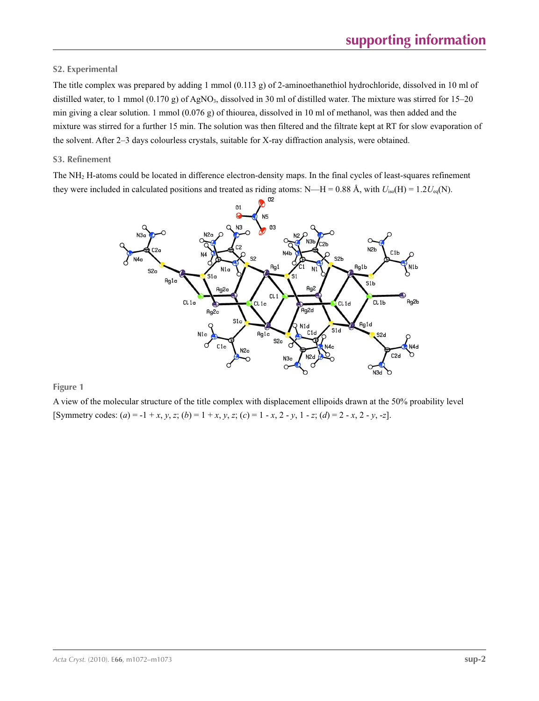### **S2. Experimental**

The title complex was prepared by adding 1 mmol (0.113 g) of 2-aminoethanethiol hydrochloride, dissolved in 10 ml of distilled water, to 1 mmol (0.170 g) of AgNO<sub>3</sub>, dissolved in 30 ml of distilled water. The mixture was stirred for  $15-20$ min giving a clear solution. 1 mmol (0.076 g) of thiourea, dissolved in 10 ml of methanol, was then added and the mixture was stirred for a further 15 min. The solution was then filtered and the filtrate kept at RT for slow evaporation of the solvent. After 2–3 days colourless crystals, suitable for X-ray diffraction analysis, were obtained.

### **S3. Refinement**

The NH2 H-atoms could be located in difference electron-density maps. In the final cycles of least-squares refinement they were included in calculated positions and treated as riding atoms: N—H = 0.88 Å, with  $U_{iso}(H) = 1.2U_{eq}(N)$ .



**Figure 1**

A view of the molecular structure of the title complex with displacement ellipoids drawn at the 50% proability level [Symmetry codes:  $(a) = -1 + x, y, z$ ;  $(b) = 1 + x, y, z$ ;  $(c) = 1 - x, 2 - y, 1 - z$ ;  $(d) = 2 - x, 2 - y, -z$ ].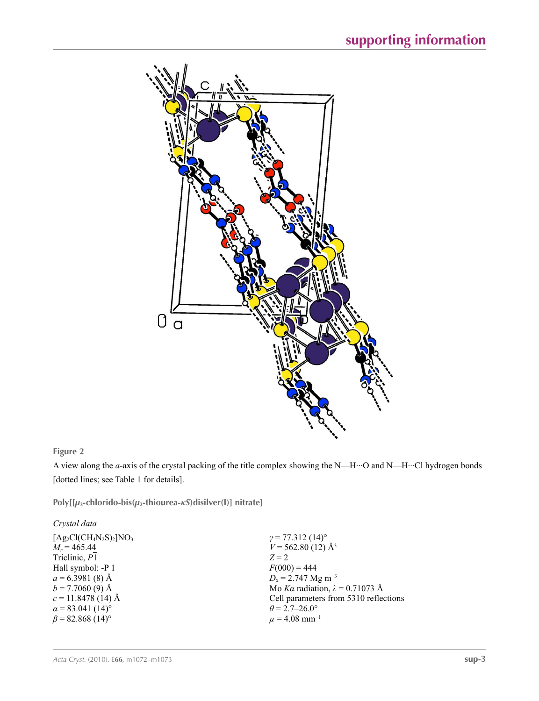

### **Figure 2**

A view along the *a*-axis of the crystal packing of the title complex showing the N—H···O and N—H···Cl hydrogen bonds [dotted lines; see Table 1 for details].

**Poly[[***µ***3-chlorido-bis(***µ***2-thiourea-***κS***)disilver(I)] nitrate]** 

| Crystal data                        |                                        |
|-------------------------------------|----------------------------------------|
| $[Ag_2Cl(CH_4N_2S)_2]NO_3$          | $\gamma$ = 77.312 (14) <sup>o</sup>    |
| $M_r = 465.44$                      | $V = 562.80(12)$ Å <sup>3</sup>        |
| Triclinic, P1                       | $Z = 2$                                |
| Hall symbol: -P 1                   | $F(000) = 444$                         |
| $a = 6.3981(8)$ Å                   | $D_x = 2.747$ Mg m <sup>-3</sup>       |
| $b = 7.7060(9)$ Å                   | Mo Ka radiation, $\lambda = 0.71073$ Å |
| $c = 11.8478(14)$ Å                 | Cell parameters from 5310 reflections  |
| $\alpha$ = 83.041 (14) <sup>o</sup> | $\theta$ = 2.7–26.0°                   |
| $\beta$ = 82.868 (14) <sup>o</sup>  | $\mu$ = 4.08 mm <sup>-1</sup>          |
|                                     |                                        |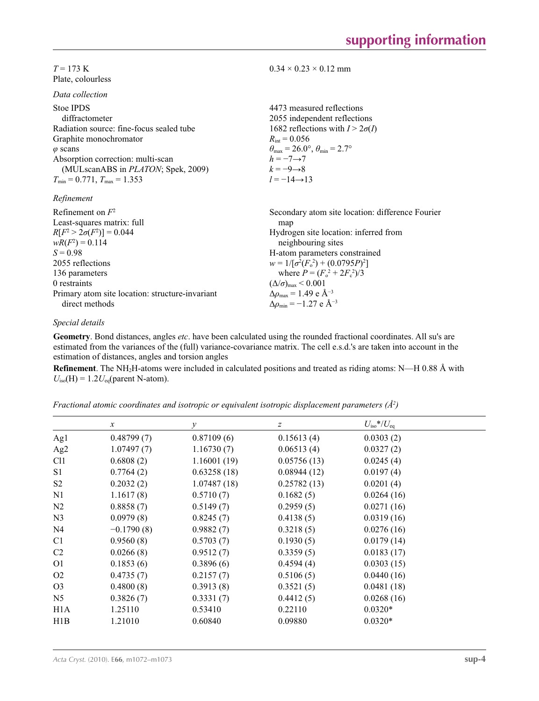### $T = 173$  K Plate, colourless

*Data collection*

| Duiu concenon                              |                                                                         |
|--------------------------------------------|-------------------------------------------------------------------------|
| Stoe IPDS<br>diffractometer                | 4473 measured reflections<br>2055 independent reflections               |
| Radiation source: fine-focus sealed tube   | 1682 reflections with $I > 2\sigma(I)$                                  |
| Graphite monochromator                     | $R_{\text{int}} = 0.056$                                                |
| $\varphi$ scans                            | $\theta_{\text{max}} = 26.0^{\circ}, \theta_{\text{min}} = 2.7^{\circ}$ |
| Absorption correction: multi-scan          | $h = -7 \rightarrow 7$                                                  |
| (MULscanABS in <i>PLATON</i> ; Spek, 2009) | $k = -9 \rightarrow 8$                                                  |
| $T_{\min}$ = 0.771, $T_{\max}$ = 1.353     | $l = -14 \rightarrow 13$                                                |
| Refinement                                 |                                                                         |
| Refinement on $F^2$                        | Secondary atom site location: difference Fourier                        |
| Least-squares matrix: full                 | map                                                                     |
| $R[F^2 > 2\sigma(F^2)] = 0.044$            | Hydrogen site location: inferred from                                   |
| $wR(F^2) = 0.114$                          | neighbouring sites                                                      |
| $S = 0.98$                                 | H-atom parameters constrained                                           |
| 2055 reflections                           | $w = 1/[\sigma^2(F_0^2) + (0.0795P)^2]$                                 |
| 136 parameters                             | where $P = (F_o^2 + 2F_s^2)/3$                                          |
|                                            |                                                                         |

 $0.34 \times 0.23 \times 0.12$  mm

0 restraints Primary atom site location: structure-invariant direct methods

### *Special details*

**Geometry**. Bond distances, angles *etc*. have been calculated using the rounded fractional coordinates. All su's are estimated from the variances of the (full) variance-covariance matrix. The cell e.s.d.'s are taken into account in the estimation of distances, angles and torsion angles

 $(\Delta/\sigma)_{\text{max}}$  < 0.001 Δ*ρ*max = 1.49 e Å−3  $\Delta \rho_{\text{min}} = -1.27 \text{ e } \text{\AA}^{-3}$ 

**Refinement**. The NH2H-atoms were included in calculated positions and treated as riding atoms: N—H 0.88 Å with  $U_{\text{iso}}(H) = 1.2 U_{\text{eq}}(\text{parent N-atom}).$ 

| Fractional atomic coordinates and isotropic or equivalent isotropic displacement parameters $(\AA^2)$ |  |  |  |  |
|-------------------------------------------------------------------------------------------------------|--|--|--|--|
|                                                                                                       |  |  |  |  |

|                  | $\mathcal{X}$ | $\mathcal{Y}$ | $\boldsymbol{Z}$ | $U_{\rm iso}*/U_{\rm eq}$ |
|------------------|---------------|---------------|------------------|---------------------------|
| Ag1              | 0.48799(7)    | 0.87109(6)    | 0.15613(4)       | 0.0303(2)                 |
| Ag <sub>2</sub>  | 1.07497(7)    | 1.16730(7)    | 0.06513(4)       | 0.0327(2)                 |
| C <sub>11</sub>  | 0.6808(2)     | 1.16001(19)   | 0.05756(13)      | 0.0245(4)                 |
| S <sub>1</sub>   | 0.7764(2)     | 0.63258(18)   | 0.08944(12)      | 0.0197(4)                 |
| S <sub>2</sub>   | 0.2032(2)     | 1.07487(18)   | 0.25782(13)      | 0.0201(4)                 |
| N1               | 1.1617(8)     | 0.5710(7)     | 0.1682(5)        | 0.0264(16)                |
| N2               | 0.8858(7)     | 0.5149(7)     | 0.2959(5)        | 0.0271(16)                |
| N <sub>3</sub>   | 0.0979(8)     | 0.8245(7)     | 0.4138(5)        | 0.0319(16)                |
| N <sub>4</sub>   | $-0.1790(8)$  | 0.9882(7)     | 0.3218(5)        | 0.0276(16)                |
| C <sub>1</sub>   | 0.9560(8)     | 0.5703(7)     | 0.1930(5)        | 0.0179(14)                |
| C <sub>2</sub>   | 0.0266(8)     | 0.9512(7)     | 0.3359(5)        | 0.0183(17)                |
| O <sub>1</sub>   | 0.1853(6)     | 0.3896(6)     | 0.4594(4)        | 0.0303(15)                |
| O <sub>2</sub>   | 0.4735(7)     | 0.2157(7)     | 0.5106(5)        | 0.0440(16)                |
| O <sub>3</sub>   | 0.4800(8)     | 0.3913(8)     | 0.3521(5)        | 0.0481(18)                |
| N <sub>5</sub>   | 0.3826(7)     | 0.3331(7)     | 0.4412(5)        | 0.0268(16)                |
| H <sub>1</sub> A | 1.25110       | 0.53410       | 0.22110          | $0.0320*$                 |
| H1B              | 1.21010       | 0.60840       | 0.09880          | $0.0320*$                 |
|                  |               |               |                  |                           |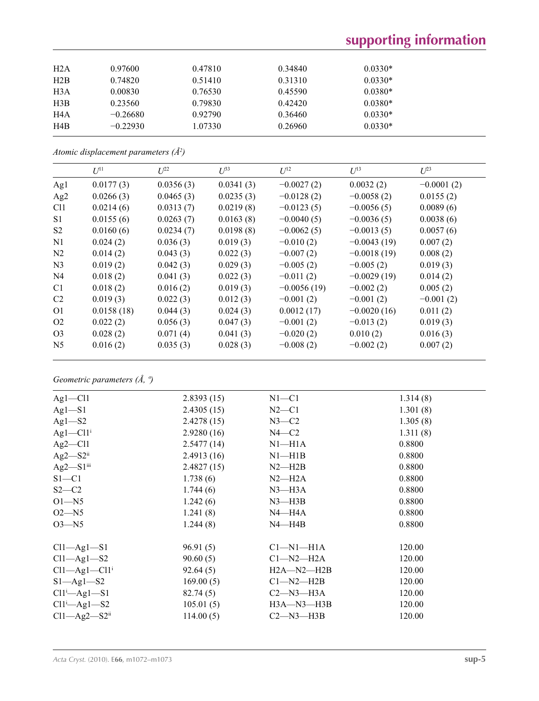# **supporting information**

| 0.97600    | 0.47810 | 0.34840 | $0.0330*$ |
|------------|---------|---------|-----------|
| 0.74820    | 0.51410 | 0.31310 | $0.0330*$ |
| 0.00830    | 0.76530 | 0.45590 | $0.0380*$ |
| 0.23560    | 0.79830 | 0.42420 | $0.0380*$ |
| $-0.26680$ | 0.92790 | 0.36460 | $0.0330*$ |
| $-0.22930$ | 1.07330 | 0.26960 | $0.0330*$ |
|            |         |         |           |

*Atomic displacement parameters (Å2 )*

|                 | $U^{11}$   | $I^{22}$  | $\mathcal{L}^{\beta 3}$ | $U^{12}$      | $U^{13}$      | $U^{23}$     |
|-----------------|------------|-----------|-------------------------|---------------|---------------|--------------|
| Ag1             | 0.0177(3)  | 0.0356(3) | 0.0341(3)               | $-0.0027(2)$  | 0.0032(2)     | $-0.0001(2)$ |
| Ag <sub>2</sub> | 0.0266(3)  | 0.0465(3) | 0.0235(3)               | $-0.0128(2)$  | $-0.0058(2)$  | 0.0155(2)    |
| C <sub>11</sub> | 0.0214(6)  | 0.0313(7) | 0.0219(8)               | $-0.0123(5)$  | $-0.0056(5)$  | 0.0089(6)    |
| S <sub>1</sub>  | 0.0155(6)  | 0.0263(7) | 0.0163(8)               | $-0.0040(5)$  | $-0.0036(5)$  | 0.0038(6)    |
| S <sub>2</sub>  | 0.0160(6)  | 0.0234(7) | 0.0198(8)               | $-0.0062(5)$  | $-0.0013(5)$  | 0.0057(6)    |
| N <sub>1</sub>  | 0.024(2)   | 0.036(3)  | 0.019(3)                | $-0.010(2)$   | $-0.0043(19)$ | 0.007(2)     |
| N <sub>2</sub>  | 0.014(2)   | 0.043(3)  | 0.022(3)                | $-0.007(2)$   | $-0.0018(19)$ | 0.008(2)     |
| N <sub>3</sub>  | 0.019(2)   | 0.042(3)  | 0.029(3)                | $-0.005(2)$   | $-0.005(2)$   | 0.019(3)     |
| N <sub>4</sub>  | 0.018(2)   | 0.041(3)  | 0.022(3)                | $-0.011(2)$   | $-0.0029(19)$ | 0.014(2)     |
| C <sub>1</sub>  | 0.018(2)   | 0.016(2)  | 0.019(3)                | $-0.0056(19)$ | $-0.002(2)$   | 0.005(2)     |
| C <sub>2</sub>  | 0.019(3)   | 0.022(3)  | 0.012(3)                | $-0.001(2)$   | $-0.001(2)$   | $-0.001(2)$  |
| O <sub>1</sub>  | 0.0158(18) | 0.044(3)  | 0.024(3)                | 0.0012(17)    | $-0.0020(16)$ | 0.011(2)     |
| O <sub>2</sub>  | 0.022(2)   | 0.056(3)  | 0.047(3)                | $-0.001(2)$   | $-0.013(2)$   | 0.019(3)     |
| O <sub>3</sub>  | 0.028(2)   | 0.071(4)  | 0.041(3)                | $-0.020(2)$   | 0.010(2)      | 0.016(3)     |
| N <sub>5</sub>  | 0.016(2)   | 0.035(3)  | 0.028(3)                | $-0.008(2)$   | $-0.002(2)$   | 0.007(2)     |
|                 |            |           |                         |               |               |              |

*Geometric parameters (Å, º)*

| $Ag1 - Cl1$                                    | 2.8393(15) | $N1 - C1$        | 1.314(8) |  |
|------------------------------------------------|------------|------------------|----------|--|
| $Ag1-S1$                                       | 2.4305(15) | $N2-C1$          | 1.301(8) |  |
| $Ag1-S2$                                       | 2.4278(15) | $N3-C2$          | 1.305(8) |  |
| $Ag1-C11$ <sup>i</sup>                         | 2.9280(16) | $N4-C2$          | 1.311(8) |  |
| $Ag2$ —Cl1                                     | 2.5477(14) | $N1 - H1A$       | 0.8800   |  |
| $Ag2-S2ii$                                     | 2.4913(16) | $N1 - H1B$       | 0.8800   |  |
| $Ag2-S1$ <sup>iii</sup>                        | 2.4827(15) | $N2 - H2B$       | 0.8800   |  |
| $S1 - C1$                                      | 1.738(6)   | $N2-H2A$         | 0.8800   |  |
| $S2-C2$                                        | 1.744(6)   | $N3$ —H $3A$     | 0.8800   |  |
| $O1 - N5$                                      | 1.242(6)   | $N3$ —H $3B$     | 0.8800   |  |
| $O2 - N5$                                      | 1.241(8)   | $N4 - H4A$       | 0.8800   |  |
| $O3 - N5$                                      | 1.244(8)   | $N4 - H4B$       | 0.8800   |  |
| $Cl1 - Ag1 - Sl$                               | 96.91(5)   | $Cl-M1-H1A$      | 120.00   |  |
| $Cl1 - Ag1 - S2$                               | 90.60(5)   | $Cl-M2-H2A$      | 120.00   |  |
| $Cl1 - Ag1 - Cl1$ <sup>i</sup>                 | 92.64(5)   | $H2A - N2 - H2B$ | 120.00   |  |
| $S1 - Ag1 - S2$                                | 169.00(5)  | $Cl-M2-H2B$      | 120.00   |  |
| $Cl1^i$ $\rightarrow$ $Ag1$ $\rightarrow$ $Sl$ | 82.74(5)   | $C2-M3-H3A$      | 120.00   |  |
| $Cl1^i$ $\rightarrow$ Ag1 $\rightarrow$ S2     | 105.01(5)  | $H3A$ —N3—H3B    | 120.00   |  |
| $Cl1 - Ag2 - S2$ <sup>ii</sup>                 | 114.00(5)  | $C2-M3-H3B$      | 120.00   |  |